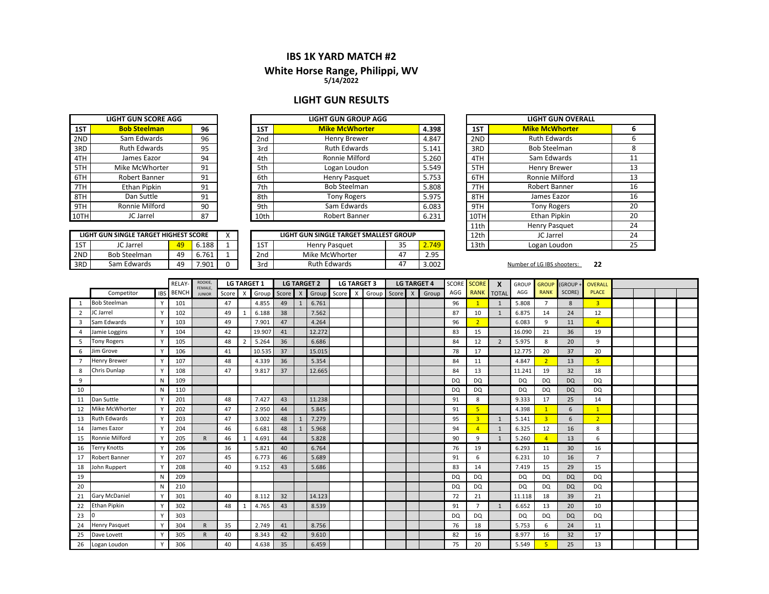# **IBS 1K YARD MATCH #2**

#### **5/14/2022 White Horse Ran g e, Philippi, WV**

## **LIGHT GUN RESULTS**

|     | <b>LIGHT GUN SCORE AGG</b> |    |  |  |  |  |  |  |  |  |  |  |
|-----|----------------------------|----|--|--|--|--|--|--|--|--|--|--|
| 1ST | <b>Bob Steelman</b>        | 96 |  |  |  |  |  |  |  |  |  |  |
| 2ND | Sam Edwards                | 96 |  |  |  |  |  |  |  |  |  |  |
| 3RD | <b>Ruth Edwards</b>        | 95 |  |  |  |  |  |  |  |  |  |  |
| 4TH | James Eazor                | 94 |  |  |  |  |  |  |  |  |  |  |
| 5TH | Mike McWhorter             | 91 |  |  |  |  |  |  |  |  |  |  |
| 6TH | Robert Banner              | 91 |  |  |  |  |  |  |  |  |  |  |
| 7TH | <b>Ethan Pipkin</b>        | 91 |  |  |  |  |  |  |  |  |  |  |
| 8TH | Dan Suttle                 | 91 |  |  |  |  |  |  |  |  |  |  |
| 9TH | Ronnie Milford             | 90 |  |  |  |  |  |  |  |  |  |  |
|     | JC Jarrel                  | 87 |  |  |  |  |  |  |  |  |  |  |

|      | LIGHT GUN SINGLE TARGET HIGHEST SCORE |    |       |   |
|------|---------------------------------------|----|-------|---|
| 1ST  | JC Jarrel                             | 49 | 6.188 |   |
| 2ND. | <b>Bob Steelman</b>                   | 49 | 6.761 |   |
| 3RD  | Sam Edwards                           | 49 | 7 9N1 | o |

|      | LIGHT GUN SCORE AGG |    |                 | LIGHT GUN GROUP AGG   |       |      | LIGHT GUN C          |
|------|---------------------|----|-----------------|-----------------------|-------|------|----------------------|
| 1ST  | <b>Bob Steelman</b> | 96 | 1ST             | <b>Mike McWhorter</b> | 4.398 | 1ST  | <b>Mike McWhor</b>   |
| 2ND  | Sam Edwards         | 96 | 2 <sub>nd</sub> | Henry Brewer          | 4.847 | 2ND  | <b>Ruth Edward</b>   |
| 3RD  | <b>Ruth Edwards</b> | 95 | 3rd             | <b>Ruth Edwards</b>   | 5.141 | 3RD  | <b>Bob Steelmar</b>  |
| 4TH  | James Eazor         | 94 | 4th             | Ronnie Milford        | 5.260 | 4TH  | Sam Edward           |
| 5TH  | Mike McWhorter      | 91 | 5th             | Logan Loudon          | 5.549 | 5TH  | <b>Henry Brewe</b>   |
| 6TH  | Robert Banner       | 91 | 6th             | Henry Pasquet         | 5.753 | 6TH  | <b>Ronnie Milfor</b> |
| 7TH  | Ethan Pipkin        | 91 | 7th             | <b>Bob Steelman</b>   | 5.808 | 7TH  | <b>Robert Banne</b>  |
| 8TH  | Dan Suttle          | 91 | 8th             | <b>Tony Rogers</b>    | 5.975 | 8TH  | James Eazor          |
| 9TH  | Ronnie Milford      | 90 | 9th             | Sam Edwards           | 6.083 | 9TH  | <b>Tony Rogers</b>   |
| 10TH | JC Jarrel           | 87 | 10th            | Robert Banner         | 6.231 | 10TH | <b>Ethan Pipkin</b>  |
|      |                     |    |                 |                       |       | .    | 11. <b>. .</b>       |

|     |                                       |    |       |  |     |                                        |    |       | ---- |
|-----|---------------------------------------|----|-------|--|-----|----------------------------------------|----|-------|------|
|     | LIGHT GUN SINGLE TARGET HIGHEST SCORE |    |       |  |     | LIGHT GUN SINGLE TARGET SMALLEST GROUP |    |       | 12th |
| 1ST | JC Jarrel                             | 49 | 6.188 |  | 1ST | <b>Henry Pasquet</b>                   | 35 | 2.749 | 13th |
| 2ND | <b>Bob Steelman</b>                   | 49 | 6.761 |  | 2nd | Mike McWhorter                         | 47 | 2.95  |      |
| 3RD | Sam Edwards                           | 49 | .901  |  | 3rd | <b>Ruth Edwards</b>                    | 47 | 3.002 |      |

| N GROUP AGG                 |       |       |              | <b>LIGHT GUN OVERALL</b> |    |
|-----------------------------|-------|-------|--------------|--------------------------|----|
| <b>AcWhorter</b>            |       | 4.398 | 1ST          | <b>Mike McWhorter</b>    | 6  |
| y Brewer                    |       | 4.847 | 2ND          | <b>Ruth Edwards</b>      | 6  |
| Edwards                     |       | 5.141 | 3RD          | <b>Bob Steelman</b>      | 8  |
| ie Milford                  |       | 5.260 | 4TH          | Sam Edwards              | 11 |
| n Loudon                    |       | 5.549 | 5TH          | <b>Henry Brewer</b>      | 13 |
| y Pasquet                   |       | 5.753 | 6TH          | <b>Ronnie Milford</b>    | 13 |
| Steelman                    |       | 5.808 | 7TH          | Robert Banner            | 16 |
| y Rogers                    |       | 5.975 | 8TH          | James Eazor              | 16 |
| Edwards                     |       | 6.083 | 9TH          | <b>Tony Rogers</b>       | 20 |
| rt Banner                   |       | 6.231 | 10TH         | <b>Ethan Pipkin</b>      | 20 |
|                             |       |       | 11th         | <b>Henry Pasquet</b>     | 24 |
| <b>ARGET SMALLEST GROUP</b> |       |       | 12th         | JC Jarrel                | 24 |
| quet                        | 2.749 | 13th  | Logan Loudon | 25                       |    |

#### **22** Number of LG IBS shooters:

|    |                      |            | <b>RELAY</b> | ROOKIE,<br>FEMALE. |       |   | <b>LG TARGET 1</b> |         |              | <b>LG TARGET 2</b> | <b>LG TARGET 3</b><br><b>LG TARGET 4</b> |  | SCORE         | <b>SCORE</b><br>X<br><b>GROUP</b><br><b>GROUP</b> |       | <b>GROUP-</b> | <b>OVERALL</b> |                |           |                |           |                |  |  |  |  |
|----|----------------------|------------|--------------|--------------------|-------|---|--------------------|---------|--------------|--------------------|------------------------------------------|--|---------------|---------------------------------------------------|-------|---------------|----------------|----------------|-----------|----------------|-----------|----------------|--|--|--|--|
|    | Competitor           | <b>IBS</b> | <b>BENCH</b> | <b>JUNIOR</b>      | Score | X | Group              | Score X |              | Group              |                                          |  | Score X Group | Score X                                           | Group | AGG           | <b>RANK</b>    | <b>TOTAL</b>   | AGG       | <b>RANK</b>    | SCORE)    | <b>PLACE</b>   |  |  |  |  |
| 1  | <b>Bob Steelman</b>  | Y          | 101          |                    | 47    |   | 4.855              | 49      | $\mathbf{1}$ | 6.761              |                                          |  |               |                                                   |       | 96            |                | 1              | 5.808     | $\overline{7}$ | 8         | $\overline{3}$ |  |  |  |  |
| 2  | JC Jarrel            |            | 102          |                    | 49    |   | 6.188              | 38      |              | 7.562              |                                          |  |               |                                                   |       | 87            | 10             | $\mathbf{1}$   | 6.875     | 14             | 24        | 12             |  |  |  |  |
| 3  | Sam Edwards          | Y          | 103          |                    | 49    |   | 7.901              | 47      |              | 4.264              |                                          |  |               |                                                   |       | 96            | $\overline{2}$ |                | 6.083     | 9              | 11        | 4 <sup>1</sup> |  |  |  |  |
| 4  | Jamie Loggins        | Y          | 104          |                    | 42    |   | 19.907             | 41      |              | 12.272             |                                          |  |               |                                                   |       | 83            | 15             |                | 16.090    | 21             | 36        | 19             |  |  |  |  |
| 5  | <b>Tony Rogers</b>   |            | 105          |                    | 48    |   | 5.264              | 36      |              | 6.686              |                                          |  |               |                                                   |       | 84            | 12             | $\overline{2}$ | 5.975     | 8              | 20        | 9              |  |  |  |  |
| 6  | Jim Grove            | v          | 106          |                    | 41    |   | 10.535             | 37      |              | 15.015             |                                          |  |               |                                                   |       | 78            | 17             |                | 12.775    | 20             | 37        | 20             |  |  |  |  |
|    | <b>Henry Brewer</b>  | Y          | 107          |                    | 48    |   | 4.339              | 36      |              | 5.354              |                                          |  |               |                                                   |       | 84            | 11             |                | 4.847     | $\overline{2}$ | 13        | 5 <sup>1</sup> |  |  |  |  |
| 8  | Chris Dunlap         |            | 108          |                    | 47    |   | 9.817              | 37      |              | 12.665             |                                          |  |               |                                                   |       | 84            | 13             |                | 11.241    | 19             | 32        | 18             |  |  |  |  |
| 9  |                      | N          | 109          |                    |       |   |                    |         |              |                    |                                          |  |               |                                                   |       | DQ            | <b>DQ</b>      |                | DQ        | <b>DQ</b>      | <b>DQ</b> | <b>DQ</b>      |  |  |  |  |
| 10 |                      | N          | 110          |                    |       |   |                    |         |              |                    |                                          |  |               |                                                   |       | <b>DQ</b>     | <b>DQ</b>      |                | <b>DQ</b> | <b>DQ</b>      | <b>DQ</b> | DQ             |  |  |  |  |
| 11 | Dan Suttle           |            | 201          |                    | 48    |   | 7.427              | 43      |              | 11.238             |                                          |  |               |                                                   |       | 91            | 8              |                | 9.333     | 17             | 25        | 14             |  |  |  |  |
| 12 | Mike McWhorter       | v          | 202          |                    | 47    |   | 2.950              | 44      |              | 5.845              |                                          |  |               |                                                   |       | 91            | 5              |                | 4.398     | $\overline{1}$ | 6         | $\overline{1}$ |  |  |  |  |
| 13 | <b>Ruth Edwards</b>  | Y          | 203          |                    | 47    |   | 3.002              | 48      | $\mathbf{1}$ | 7.279              |                                          |  |               |                                                   |       | 95            | $\overline{3}$ | 1              | 5.141     | 3 <sup>1</sup> | 6         | 2 <sup>2</sup> |  |  |  |  |
| 14 | James Eazor          |            | 204          |                    | 46    |   | 6.681              | 48      |              | 5.968              |                                          |  |               |                                                   |       | 94            | $\overline{A}$ | 1              | 6.325     | 12             | 16        | 8              |  |  |  |  |
| 15 | Ronnie Milford       | Y          | 205          | $\mathsf{R}$       | 46    |   | 4.691              | 44      |              | 5.828              |                                          |  |               |                                                   |       | 90            | 9              | $\mathbf{1}$   | 5.260     | $\overline{4}$ | 13        | 6              |  |  |  |  |
| 16 | <b>Terry Knotts</b>  | Y          | 206          |                    | 36    |   | 5.821              | 40      |              | 6.764              |                                          |  |               |                                                   |       | 76            | 19             |                | 6.293     | 11             | 30        | 16             |  |  |  |  |
| 17 | Robert Banner        |            | 207          |                    | 45    |   | 6.773              | 46      |              | 5.689              |                                          |  |               |                                                   |       | 91            | 6              |                | 6.231     | 10             | 16        | $\overline{7}$ |  |  |  |  |
| 18 | John Ruppert         | v          | 208          |                    | 40    |   | 9.152              | 43      |              | 5.686              |                                          |  |               |                                                   |       | 83            | 14             |                | 7.419     | 15             | 29        | 15             |  |  |  |  |
| 19 |                      | N          | 209          |                    |       |   |                    |         |              |                    |                                          |  |               |                                                   |       | <b>DQ</b>     | <b>DQ</b>      |                | <b>DQ</b> | <b>DQ</b>      | <b>DQ</b> | DQ             |  |  |  |  |
| 20 |                      | N          | 210          |                    |       |   |                    |         |              |                    |                                          |  |               |                                                   |       | DQ            | <b>DQ</b>      |                | DQ        | <b>DQ</b>      | <b>DQ</b> | DQ             |  |  |  |  |
| 21 | <b>Gary McDaniel</b> | γ          | 301          |                    | 40    |   | 8.112              | 32      |              | 14.123             |                                          |  |               |                                                   |       | 72            | 21             |                | 11.118    | 18             | 39        | 21             |  |  |  |  |
| 22 | <b>Ethan Pipkin</b>  | Y          | 302          |                    | 48    |   | 4.765              | 43      |              | 8.539              |                                          |  |               |                                                   |       | 91            | $\overline{7}$ | 1              | 6.652     | 13             | 20        | 10             |  |  |  |  |
| 23 |                      |            | 303          |                    |       |   |                    |         |              |                    |                                          |  |               |                                                   |       | <b>DQ</b>     | <b>DQ</b>      |                | DQ        | <b>DQ</b>      | <b>DQ</b> | DQ             |  |  |  |  |
| 24 | <b>Henry Pasquet</b> | v          | 304          | $\mathsf{R}$       | 35    |   | 2.749              | 41      |              | 8.756              |                                          |  |               |                                                   |       | 76            | 18             |                | 5.753     | 6              | 24        | 11             |  |  |  |  |
| 25 | Dave Lovett          | Υ          | 305          | $\mathsf{R}$       | 40    |   | 8.343              | 42      |              | 9.610              |                                          |  |               |                                                   |       | 82            | 16             |                | 8.977     | 16             | 32        | 17             |  |  |  |  |
| 26 | Logan Loudon         |            | 306          |                    | 40    |   | 4.638              | 35      |              | 6.459              |                                          |  |               |                                                   |       | 75            | 20             |                | 5.549     | 5 <sup>2</sup> | 25        | 13             |  |  |  |  |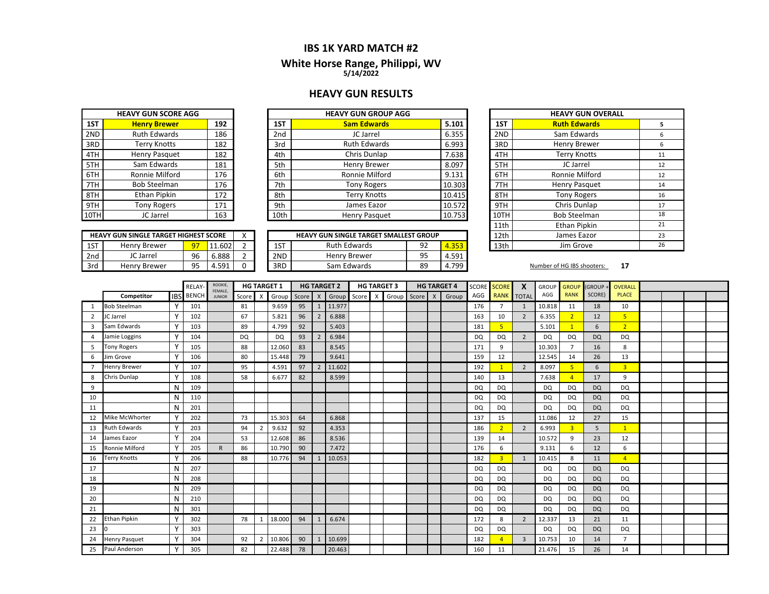## **IBS 1K YARD MATCH #2**

#### **White Horse Ran g e, Philippi, WV 5/14/2022**

#### **HEAVY GUN RESULTS**

|     | <b>HEAVY GUN SCORE AGG</b> |     |  |  |  |  |  |  |  |  |  |  |  |
|-----|----------------------------|-----|--|--|--|--|--|--|--|--|--|--|--|
| 1ST | <b>Henry Brewer</b>        | 192 |  |  |  |  |  |  |  |  |  |  |  |
| 2ND | <b>Ruth Edwards</b>        | 186 |  |  |  |  |  |  |  |  |  |  |  |
| 3RD | <b>Terry Knotts</b>        | 182 |  |  |  |  |  |  |  |  |  |  |  |
| 4TH | <b>Henry Pasquet</b>       | 182 |  |  |  |  |  |  |  |  |  |  |  |
| 5TH | Sam Edwards                | 181 |  |  |  |  |  |  |  |  |  |  |  |
| 6TH | Ronnie Milford             | 176 |  |  |  |  |  |  |  |  |  |  |  |
| 7TH | <b>Bob Steelman</b>        | 176 |  |  |  |  |  |  |  |  |  |  |  |
| 8TH | Ethan Pipkin               | 172 |  |  |  |  |  |  |  |  |  |  |  |
| 9TH | <b>Tony Rogers</b>         | 171 |  |  |  |  |  |  |  |  |  |  |  |
|     | JC Jarrel                  | 163 |  |  |  |  |  |  |  |  |  |  |  |

|     | <b>HEAVY GUN SINGLE TARGET HIGHEST SCORE</b> |    |        |   |
|-----|----------------------------------------------|----|--------|---|
| 1ST | <b>Henry Brewer</b>                          |    | 11.602 |   |
| 2nd | JC Jarrel                                    | 96 | 6.888  |   |
| 3rd | <b>Henry Brewer</b>                          | 95 | 4.591  | ი |

|        | <b>HEAVY GUN GROUP AGG</b> |      |     |                     |                            |  |  |
|--------|----------------------------|------|-----|---------------------|----------------------------|--|--|
| 5.101  | <b>Sam Edwards</b>         | 1ST  | 192 | <b>Henry Brewer</b> | 1ST                        |  |  |
| 6.355  | JC Jarrel                  | 2nd  | 186 | <b>Ruth Edwards</b> | 2ND                        |  |  |
| 6.993  | <b>Ruth Edwards</b>        | 3rd  | 182 | <b>Terry Knotts</b> | 3RD                        |  |  |
| 7.638  | Chris Dunlap               | 4th  | 182 | Henry Pasquet       | 4TH                        |  |  |
| 8.097  | Henry Brewer               | 5th  | 181 | Sam Edwards         | 5TH                        |  |  |
| 9.131  | Ronnie Milford             | 6th  | 176 | Ronnie Milford      | 6TH                        |  |  |
| 10.303 | <b>Tony Rogers</b>         | 7th  | 176 | <b>Bob Steelman</b> | 7TH                        |  |  |
| 10.415 | <b>Terry Knotts</b>        | 8th  | 172 | Ethan Pipkin        | 8TH                        |  |  |
| 10.572 | James Eazor                | 9th  | 171 | <b>Tony Rogers</b>  | 9TH                        |  |  |
| 10.753 | Henry Pasquet              | 10th | 163 | JC Jarrel           | 10TH I                     |  |  |
|        |                            |      |     |                     | <b>HEAVY GUN SCORE AGG</b> |  |  |

|     | <b>HEAVY GUN SINGLE TARGET HIGHEST SCORE</b> |    |                      |  |     | <b>HEAVY GUN SINGLE TARGET SMALLEST GROUP</b> |    |       | 12th | James Eazor            |
|-----|----------------------------------------------|----|----------------------|--|-----|-----------------------------------------------|----|-------|------|------------------------|
| 1ST | <b>Henry Brewer</b>                          | -  | .602<br>.11          |  | 15T | <b>Ruth Edwards</b>                           | 92 | 4.353 | 13th | Jim Grove              |
| 2nd | JC Jarrel                                    | 96 | 888،                 |  | 2ND | Henry Brewer                                  | 95 | .591  |      |                        |
| 3rd | <b>Henry Brewer</b>                          | ۵Ę | 591<br>Д<br>r. J.J.L |  | 3RD | Sam Edwards                                   | 89 | 1.799 |      | Number of HG IBS shoot |

| <b>VY GUN GROUP AGG</b>            |  |        |                  | <b>HEAVY GUN OVERALL</b> |    |
|------------------------------------|--|--------|------------------|--------------------------|----|
| <b>Sam Edwards</b>                 |  | 5.101  | 1ST              | <b>Ruth Edwards</b>      | 5  |
| JC Jarrel                          |  | 6.355  | 2ND              | Sam Edwards              | 6  |
| <b>Ruth Edwards</b>                |  | 6.993  | 3RD              | Henry Brewer             | 6  |
| Chris Dunlap                       |  | 7.638  | 4TH              | <b>Terry Knotts</b>      | 11 |
| Henry Brewer                       |  | 8.097  | 5TH              | JC Jarrel                | 12 |
| Ronnie Milford                     |  | 9.131  | 6TH              | Ronnie Milford           | 12 |
| <b>Tony Rogers</b>                 |  | 10.303 | 7TH              | <b>Henry Pasquet</b>     | 14 |
| <b>Terry Knotts</b>                |  | 10.415 | 8TH              | <b>Tony Rogers</b>       | 16 |
| James Eazor                        |  | 10.572 | 9TH              | Chris Dunlap             | 17 |
| Henry Pasquet                      |  | 10.753 | 10TH             | <b>Bob Steelman</b>      | 18 |
|                                    |  |        | 11th             | Ethan Pipkin             | 21 |
| <b>INGLE TARGET SMALLEST GROUP</b> |  |        | 12 <sub>th</sub> | James Eazor              | 23 |
| h Edwards<br>92                    |  | 4.353  | 13th             | Jim Grove                | 26 |

**17 17 17** 

|                |                     |              | <b>RELAY</b> | ROOKIE,                  |           |                | <b>HG TARGET 1</b> |    |                | <b>HG TARGET 2</b> |       |                           | <b>HG TARGET 3</b> |             |              | <b>HG TARGET 4</b> |           | <b>SCORE SCORE</b>      | X              | <b>GROUP</b> | <b>GROUP</b>   | <b>GROUP</b> | OVERALL        |  |  |
|----------------|---------------------|--------------|--------------|--------------------------|-----------|----------------|--------------------|----|----------------|--------------------|-------|---------------------------|--------------------|-------------|--------------|--------------------|-----------|-------------------------|----------------|--------------|----------------|--------------|----------------|--|--|
|                | Competitor          | <b>IBS</b>   | <b>BENCH</b> | FEMALE,<br><b>JUNIOR</b> | Score X   |                | Group Score        |    | $\mathsf{X}$   | Group              | Score | $\boldsymbol{\mathsf{x}}$ |                    | Group Score | $\mathsf{X}$ | Group              | AGG       | <b>RANK</b>             | <b>TOTAL</b>   | AGG          | <b>RANK</b>    | SCORE)       | <b>PLACE</b>   |  |  |
| -1             | <b>Bob Steelman</b> | γ            | 101          |                          | 81        |                | 9.659              | 95 |                | 11.977             |       |                           |                    |             |              |                    | 176       | $\overline{7}$          | 1              | 10.818       | 11             | 18           | 10             |  |  |
| $\overline{2}$ | JC Jarrel           | v            | 102          |                          | 67        |                | 5.821              | 96 | $\overline{2}$ | 6.888              |       |                           |                    |             |              |                    | 163       | 10                      | $\overline{2}$ | 6.355        | $\overline{2}$ | 12           | 5 <sup>1</sup> |  |  |
| $\overline{3}$ | Sam Edwards         | $\mathbf v$  | 103          |                          | 89        |                | 4.799              | 92 |                | 5.403              |       |                           |                    |             |              |                    | 181       | $\overline{5}$          |                | 5.101        | $\overline{1}$ | 6            | 2 <sup>1</sup> |  |  |
| $\overline{4}$ | Jamie Loggins       | Y            | 104          |                          | <b>DQ</b> |                | <b>DQ</b>          | 93 | $\overline{2}$ | 6.984              |       |                           |                    |             |              |                    | <b>DQ</b> | DQ                      | $\overline{2}$ | <b>DQ</b>    | DQ             | <b>DQ</b>    | <b>DQ</b>      |  |  |
| -5             | <b>Tony Rogers</b>  |              | 105          |                          | 88        |                | 12.060             | 83 |                | 8.545              |       |                           |                    |             |              |                    | 171       | 9                       |                | 10.303       |                | 16           | 8              |  |  |
| 6              | Jim Grove           | v            | 106          |                          | 80        |                | 15.448             | 79 |                | 9.641              |       |                           |                    |             |              |                    | 159       | 12                      |                | 12.545       | 14             | 26           | 13             |  |  |
| $\overline{7}$ | <b>Henry Brewer</b> | v            | 107          |                          | 95        |                | 4.591              | 97 | $\overline{2}$ | 11.602             |       |                           |                    |             |              |                    | 192       | $\mathbf{1}$            | $\overline{2}$ | 8.097        | 5              | 6            | $\overline{3}$ |  |  |
| 8              | Chris Dunlap        | Y            | 108          |                          | 58        |                | 6.677              | 82 |                | 8.599              |       |                           |                    |             |              |                    | 140       | 13                      |                | 7.638        | $\overline{4}$ | 17           | 9              |  |  |
| 9              |                     | N            | 109          |                          |           |                |                    |    |                |                    |       |                           |                    |             |              |                    | <b>DQ</b> | <b>DQ</b>               |                | DQ           | DQ             | <b>DQ</b>    | <b>DQ</b>      |  |  |
| 10             |                     | N            | 110          |                          |           |                |                    |    |                |                    |       |                           |                    |             |              |                    | <b>DQ</b> | <b>DQ</b>               |                | <b>DQ</b>    | DQ             | <b>DQ</b>    | DQ             |  |  |
| 11             |                     | N            | 201          |                          |           |                |                    |    |                |                    |       |                           |                    |             |              |                    | <b>DQ</b> | <b>DQ</b>               |                | <b>DQ</b>    | <b>DQ</b>      | <b>DQ</b>    | <b>DQ</b>      |  |  |
| 12             | Mike McWhorter      | Y            | 202          |                          | 73        |                | 15.303             | 64 |                | 6.868              |       |                           |                    |             |              |                    | 137       | 15                      |                | 11.086       | 12             | 27           | 15             |  |  |
| 13             | <b>Ruth Edwards</b> | v            | 203          |                          | 94        | $\overline{2}$ | 9.632              | 92 |                | 4.353              |       |                           |                    |             |              |                    | 186       | $\overline{2}$          | 2              | 6.993        | $\overline{3}$ | 5            | $\overline{1}$ |  |  |
| 14             | James Eazor         | $\vee$       | 204          |                          | 53        |                | 12.608             | 86 |                | 8.536              |       |                           |                    |             |              |                    | 139       | 14                      |                | 10.572       | 9              | 23           | 12             |  |  |
| 15             | Ronnie Milford      | Y            | 205          | $\mathsf{R}$             | 86        |                | 10.790             | 90 |                | 7.472              |       |                           |                    |             |              |                    | 176       | 6                       |                | 9.131        | 6              | 12           | 6              |  |  |
| 16             | <b>Terry Knotts</b> |              | 206          |                          | 88        |                | 10.776             | 94 |                | 10.053             |       |                           |                    |             |              |                    | 182       | $\overline{\mathbf{3}}$ | 1              | 10.415       | 8              | 11           | $\overline{4}$ |  |  |
| 17             |                     | N            | 207          |                          |           |                |                    |    |                |                    |       |                           |                    |             |              |                    | DQ        | <b>DQ</b>               |                | <b>DQ</b>    | <b>DQ</b>      | <b>DQ</b>    | <b>DQ</b>      |  |  |
| 18             |                     | N            | 208          |                          |           |                |                    |    |                |                    |       |                           |                    |             |              |                    | <b>DQ</b> | <b>DQ</b>               |                | <b>DQ</b>    | DQ             | <b>DQ</b>    | DQ             |  |  |
| 19             |                     | N            | 209          |                          |           |                |                    |    |                |                    |       |                           |                    |             |              |                    | DQ        | <b>DQ</b>               |                | <b>DQ</b>    | <b>DQ</b>      | <b>DQ</b>    | <b>DQ</b>      |  |  |
| 20             |                     | N            | 210          |                          |           |                |                    |    |                |                    |       |                           |                    |             |              |                    | <b>DQ</b> | DQ                      |                | <b>DQ</b>    | <b>DQ</b>      | <b>DQ</b>    | DQ             |  |  |
| 21             |                     | N            | 301          |                          |           |                |                    |    |                |                    |       |                           |                    |             |              |                    | <b>DQ</b> | <b>DQ</b>               |                | <b>DQ</b>    | <b>DQ</b>      | <b>DQ</b>    | DQ             |  |  |
| 22             | <b>Ethan Pipkin</b> | $\mathbf v$  | 302          |                          | 78        |                | 18.000             | 94 |                | 6.674              |       |                           |                    |             |              |                    | 172       | 8                       | $\overline{2}$ | 12.337       | 13             | 21           | 11             |  |  |
| 23             |                     | v            | 303          |                          |           |                |                    |    |                |                    |       |                           |                    |             |              |                    | <b>DQ</b> | DQ                      |                | DQ           | DQ             | <b>DQ</b>    | DQ             |  |  |
| 24             | Henry Pasquet       | $\checkmark$ | 304          |                          | 92        | $\overline{2}$ | 10.806             | 90 |                | 10.699             |       |                           |                    |             |              |                    | 182       | Δ                       | $\overline{3}$ | 10.753       | 10             | 14           | $\overline{7}$ |  |  |
| 25             | Paul Anderson       | v            | 305          |                          | 82        |                | 22.488             | 78 |                | 20.463             |       |                           |                    |             |              |                    | 160       | 11                      |                | 21.476       | 15             | 26           | 14             |  |  |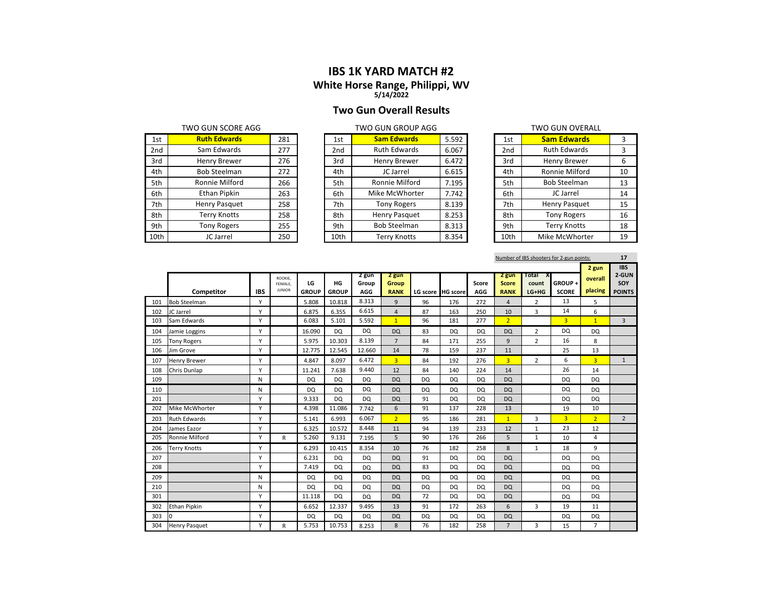# **IBS 1K YARD MATCH #2**

# **White Horse Ran g e, Philippi, WV 5/14/2022**

# **Two Gun Overall Results**

| 1st  | <b>Ruth Edwards</b> | 281 | 1st             | <b>Sam Edwards</b>  | 5.592 | 1st             | <b>Sam Edwards</b>   | 3  |
|------|---------------------|-----|-----------------|---------------------|-------|-----------------|----------------------|----|
| 2nd  | Sam Edwards         | 277 | 2 <sub>nd</sub> | <b>Ruth Edwards</b> | 6.067 | 2 <sub>nd</sub> | <b>Ruth Edwards</b>  | 3  |
| 3rd  | Henry Brewer        | 276 | 3rd             | Henry Brewer        | 6.472 | 3rd             | Henry Brewer         | 6  |
| 4th  | <b>Bob Steelman</b> | 272 | 4th             | JC Jarrel           | 6.615 | 4th             | Ronnie Milford       | 10 |
| 5th  | Ronnie Milford      | 266 | 5th             | Ronnie Milford      | 7.195 | 5th             | <b>Bob Steelman</b>  | 13 |
| 6th  | Ethan Pipkin        | 263 | 6th             | Mike McWhorter      | 7.742 | 6th             | JC Jarrel            | 14 |
| 7th  | Henry Pasquet       | 258 | 7th             | <b>Tony Rogers</b>  | 8.139 | 7th             | <b>Henry Pasquet</b> | 15 |
| 8th  | Terry Knotts        | 258 | 8th             | Henry Pasquet       | 8.253 | 8th             | <b>Tony Rogers</b>   | 16 |
| 9th  | <b>Tony Rogers</b>  | 255 | 9th             | <b>Bob Steelman</b> | 8.313 | 9th             | <b>Terry Knotts</b>  | 18 |
| 10th | JC Jarrel           | 250 | 10th            | <b>Terry Knotts</b> | 8.354 | 10th            | Mike McWhorter       | 19 |

|      | TWO GUN SCORE AGG   |     |      | TWO GUN GROUP AGG   |       | TWO GUN OVERALL |                 |                     |                |  |
|------|---------------------|-----|------|---------------------|-------|-----------------|-----------------|---------------------|----------------|--|
| 1st  | <b>Ruth Edwards</b> | 281 | 1st  | <b>Sam Edwards</b>  | 5.592 |                 | 1st             | <b>Sam Edwards</b>  |                |  |
| 2nd  | Sam Edwards         | 277 | 2nd  | <b>Ruth Edwards</b> | 6.067 |                 | 2 <sub>nd</sub> | <b>Ruth Edwards</b> |                |  |
| 3rd  | Henry Brewer        | 276 | 3rd  | Henry Brewer        | 6.472 |                 | 3rd             | Henry Brewer        |                |  |
| 4th  | <b>Bob Steelman</b> | 272 | 4th  | JC Jarrel           | 6.615 |                 | 4th             | Ronnie Milford      | 1              |  |
| 5th  | Ronnie Milford      | 266 | 5th  | Ronnie Milford      | 7.195 |                 | 5th             | <b>Bob Steelman</b> | 13             |  |
| 5th  | Ethan Pipkin        | 263 | 6th  | Mike McWhorter      | 7.742 |                 | 6th             | JC Jarrel           | 1 <sup>1</sup> |  |
| 7th  | Henry Pasquet       | 258 | 7th  | <b>Tony Rogers</b>  | 8.139 |                 | 7th             | Henry Pasquet       | 1!             |  |
| 3th  | Terry Knotts        | 258 | 8th  | Henry Pasquet       | 8.253 |                 | 8th             | <b>Tony Rogers</b>  | 10             |  |
| 9th  | Tony Rogers         | 255 | 9th  | <b>Bob Steelman</b> | 8.313 |                 | 9th             | <b>Terry Knotts</b> | 1:             |  |
| .0th | JC Jarrel           | 250 | 10th | <b>Terry Knotts</b> | 8.354 |                 | 10th            | Mike McWhorter      | 19             |  |

|                 | TWO GUN OVERALL     |    |
|-----------------|---------------------|----|
| 1st             | <b>Sam Edwards</b>  | 3  |
| 2 <sub>nd</sub> | <b>Ruth Edwards</b> | 3  |
| 3rd             | Henry Brewer        | 6  |
| 4th             | Ronnie Milford      | 10 |
| 5th             | <b>Bob Steelman</b> | 13 |
| 6th             | JC Jarrel           | 14 |
| 7th             | Henry Pasquet       | 15 |
| 8th             | <b>Tony Rogers</b>  | 16 |
| 9th             | <b>Terry Knotts</b> | 18 |
| 10th            | Mike McWhorter      | 19 |

|     | Number of IBS shooters for 2-gun points: |            |                          |                    |                    |              |                      |                   |           |              |                             |                |                        |                | 17                   |
|-----|------------------------------------------|------------|--------------------------|--------------------|--------------------|--------------|----------------------|-------------------|-----------|--------------|-----------------------------|----------------|------------------------|----------------|----------------------|
|     |                                          |            |                          |                    |                    |              |                      |                   |           |              |                             |                |                        | 2 gun          | <b>IBS</b>           |
|     |                                          |            | ROOKIE,                  |                    |                    | 2 gun        | 2 gun                |                   |           |              | 2 gun                       | Total<br>X.    |                        | overall        | 2-GUN                |
|     | Competitor                               | <b>IBS</b> | FEMALE.<br><b>JUNIOR</b> | LG<br><b>GROUP</b> | HG<br><b>GROUP</b> | Group<br>AGG | Group<br><b>RANK</b> | LG score HG score |           | Score<br>AGG | <b>Score</b><br><b>RANK</b> | count<br>LG+HG | GROUP+<br><b>SCORE</b> | placing        | SOY<br><b>POINTS</b> |
|     |                                          | Υ          |                          | 5.808              | 10.818             | 8.313        |                      | 96                |           |              |                             |                | 13                     |                |                      |
| 101 | <b>Bob Steelman</b>                      |            |                          |                    |                    | 6.615        | 9                    |                   | 176       | 272          | $\overline{4}$              | $\overline{2}$ |                        | 5              |                      |
| 102 | JC Jarrel                                | Y          |                          | 6.875              | 6.355              |              | $\overline{4}$       | 87                | 163       | 250          | 10                          | 3              | 14                     | 6              |                      |
| 103 | Sam Edwards                              | Υ          |                          | 6.083              | 5.101              | 5.592        | 1                    | 96                | 181       | 277          | 2 <sup>1</sup>              |                | $\overline{3}$         | $\mathbf{1}$   | $\overline{3}$       |
| 104 | Jamie Loggins                            | Y          |                          | 16.090             | <b>DQ</b>          | <b>DQ</b>    | <b>DQ</b>            | 83                | <b>DQ</b> | <b>DQ</b>    | <b>DQ</b>                   | $\overline{2}$ | <b>DQ</b>              | <b>DQ</b>      |                      |
| 105 | <b>Tony Rogers</b>                       | Y          |                          | 5.975              | 10.303             | 8.139        | $\overline{7}$       | 84                | 171       | 255          | 9                           | $\overline{2}$ | 16                     | 8              |                      |
| 106 | Jim Grove                                | Υ          |                          | 12.775             | 12.545             | 12.660       | 14                   | 78                | 159       | 237          | 11                          |                | 25                     | 13             |                      |
| 107 | <b>Henry Brewer</b>                      | Υ          |                          | 4.847              | 8.097              | 6.472        | 3 <sup>1</sup>       | 84                | 192       | 276          | 3 <sup>1</sup>              | $\overline{2}$ | 6                      | $\overline{3}$ | $\mathbf{1}$         |
| 108 | Chris Dunlap                             | Y          |                          | 11.241             | 7.638              | 9.440        | 12                   | 84                | 140       | 224          | 14                          |                | 26                     | 14             |                      |
| 109 |                                          | N          |                          | DQ                 | <b>DQ</b>          | <b>DQ</b>    | <b>DQ</b>            | <b>DQ</b>         | <b>DQ</b> | <b>DQ</b>    | <b>DQ</b>                   |                | <b>DQ</b>              | DQ             |                      |
| 110 |                                          | N          |                          | <b>DQ</b>          | <b>DQ</b>          | <b>DQ</b>    | <b>DQ</b>            | <b>DQ</b>         | <b>DQ</b> | <b>DQ</b>    | <b>DQ</b>                   |                | <b>DQ</b>              | <b>DQ</b>      |                      |
| 201 |                                          | Υ          |                          | 9.333              | DQ                 | <b>DQ</b>    | <b>DQ</b>            | 91                | <b>DQ</b> | <b>DQ</b>    | <b>DQ</b>                   |                | <b>DQ</b>              | <b>DQ</b>      |                      |
| 202 | Mike McWhorter                           | Υ          |                          | 4.398              | 11.086             | 7.742        | 6                    | 91                | 137       | 228          | 13                          |                | 19                     | 10             |                      |
| 203 | <b>Ruth Edwards</b>                      | Υ          |                          | 5.141              | 6.993              | 6.067        | 2 <sup>1</sup>       | 95                | 186       | 281          | 1                           | 3              | 3 <sup>1</sup>         | 2 <sup>1</sup> | $\overline{2}$       |
| 204 | James Eazor                              | Υ          |                          | 6.325              | 10.572             | 8.448        | 11                   | 94                | 139       | 233          | 12                          | $\mathbf{1}$   | 23                     | 12             |                      |
| 205 | Ronnie Milford                           | Υ          | R                        | 5.260              | 9.131              | 7.195        | 5                    | 90                | 176       | 266          | 5                           | $\mathbf{1}$   | 10                     | $\overline{4}$ |                      |
| 206 | <b>Terry Knotts</b>                      | Υ          |                          | 6.293              | 10.415             | 8.354        | 10                   | 76                | 182       | 258          | 8                           | 1              | 18                     | 9              |                      |
| 207 |                                          | Y          |                          | 6.231              | <b>DQ</b>          | <b>DQ</b>    | <b>DQ</b>            | 91                | <b>DQ</b> | <b>DQ</b>    | <b>DQ</b>                   |                | <b>DQ</b>              | <b>DQ</b>      |                      |
| 208 |                                          | Υ          |                          | 7.419              | <b>DQ</b>          | <b>DQ</b>    | <b>DQ</b>            | 83                | DQ        | <b>DQ</b>    | <b>DQ</b>                   |                | <b>DQ</b>              | <b>DQ</b>      |                      |
| 209 |                                          | N          |                          | <b>DQ</b>          | <b>DQ</b>          | <b>DQ</b>    | <b>DQ</b>            | <b>DQ</b>         | <b>DQ</b> | <b>DQ</b>    | <b>DQ</b>                   |                | <b>DQ</b>              | <b>DQ</b>      |                      |
| 210 |                                          | N          |                          | <b>DQ</b>          | <b>DQ</b>          | <b>DQ</b>    | <b>DQ</b>            | <b>DQ</b>         | DQ        | <b>DQ</b>    | <b>DQ</b>                   |                | <b>DQ</b>              | <b>DQ</b>      |                      |
| 301 |                                          | Υ          |                          | 11.118             | <b>DQ</b>          | <b>DQ</b>    | <b>DQ</b>            | 72                | <b>DQ</b> | <b>DQ</b>    | <b>DQ</b>                   |                | <b>DQ</b>              | <b>DQ</b>      |                      |
| 302 | <b>Ethan Pipkin</b>                      | Υ          |                          | 6.652              | 12.337             | 9.495        | 13                   | 91                | 172       | 263          | 6                           | 3              | 19                     | 11             |                      |
| 303 |                                          | Y          |                          | DQ                 | <b>DQ</b>          | DQ           | <b>DQ</b>            | DQ                | DQ        | <b>DQ</b>    | <b>DQ</b>                   |                | <b>DQ</b>              | <b>DQ</b>      |                      |
| 304 | <b>Henry Pasquet</b>                     | Υ          | R                        | 5.753              | 10.753             | 8.253        | 8                    | 76                | 182       | 258          | $\overline{7}$              | 3              | 15                     | $\overline{7}$ |                      |